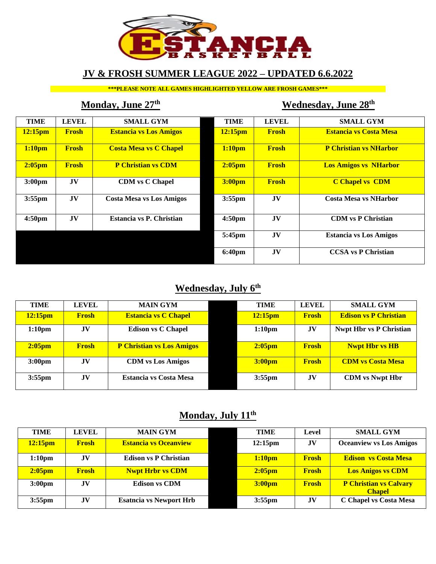

# **JV & FROSH SUMMER LEAGUE 2022 – UPDATED 6.6.2022**

**\*\*\*PLEASE NOTE ALL GAMES HIGHLIGHTED YELLOW ARE FROSH GAMES\*\*\***

# **Monday, June 27<sup>th</sup> Wednesday, June 28<sup>th</sup>**

| <b>TIME</b>         | <b>LEVEL</b>   | <b>SMALL GYM</b>                | <b>TIME</b>         | <b>LEVEL</b> | <b>SMALL GYM</b>              |
|---------------------|----------------|---------------------------------|---------------------|--------------|-------------------------------|
| 12:15 <sub>pm</sub> | <b>Frosh</b>   | <b>Estancia vs Los Amigos</b>   | 12:15 <sub>pm</sub> | <b>Frosh</b> | <b>Estancia vs Costa Mesa</b> |
| 1:10 <sub>pm</sub>  | <b>Frosh</b>   | <b>Costa Mesa vs C Chapel</b>   | 1:10 <sub>pm</sub>  | <b>Frosh</b> | <b>P Christian vs NHarbor</b> |
| $2:05$ pm           | <b>Frosh</b>   | <b>P Christian vs CDM</b>       | $2:05$ pm           | <b>Frosh</b> | <b>Los Amigos vs NHarbor</b>  |
| 3:00 <sub>pm</sub>  | JV             | <b>CDM</b> vs C Chapel          | 3:00 <sub>pm</sub>  | <b>Frosh</b> | <b>C Chapel vs CDM</b>        |
| $3:55$ pm           | JV             | <b>Costa Mesa vs Los Amigos</b> | 3:55pm              | JV           | <b>Costa Mesa vs NHarbor</b>  |
| 4:50pm              | J <sub>V</sub> | Estancia vs P. Christian        | 4:50 <sub>pm</sub>  | JV           | <b>CDM</b> vs P Christian     |
|                     |                |                                 | 5:45pm              | JV           | <b>Estancia vs Los Amigos</b> |
|                     |                |                                 | 6:40pm              | JV           | <b>CCSA</b> vs P Christian    |

# **Wednesday, July 6th**

| <b>TIME</b>         | <b>LEVEL</b> | <b>MAIN GYM</b>                  | <b>TIME</b>         | <b>LEVEL</b> | <b>SMALL GYM</b>               |
|---------------------|--------------|----------------------------------|---------------------|--------------|--------------------------------|
| 12:15 <sub>pm</sub> | <b>Frosh</b> | <b>Estancia vs C Chapel</b>      | 12:15 <sub>pm</sub> | <b>Frosh</b> | <b>Edison vs P Christian</b>   |
| 1:10 <sub>pm</sub>  | JV           | <b>Edison vs C Chapel</b>        | 1:10 <sub>pm</sub>  | JV           | <b>Nwpt Hbr vs P Christian</b> |
| $2:05$ pm           | <b>Frosh</b> | <b>P Christian vs Los Amigos</b> | $2:05$ pm           | <b>Frosh</b> | <b>Nwpt Hbr vs HB</b>          |
| 3:00 <sub>pm</sub>  | <b>JV</b>    | <b>CDM</b> vs Los Amigos         | 3:00 <sub>pm</sub>  | <b>Frosh</b> | <b>CDM</b> vs Costa Mesa       |
| $3:55$ pm           | JV           | <b>Estancia vs Costa Mesa</b>    | $3:55$ pm           | JV           | <b>CDM</b> vs Nwpt Hbr         |

# **Monday, July 11th**

| <b>TIME</b>         | LEVEL        | <b>MAIN GYM</b>                | <b>TIME</b>         | Level          | <b>SMALL GYM</b>                               |
|---------------------|--------------|--------------------------------|---------------------|----------------|------------------------------------------------|
| 12:15 <sub>pm</sub> | <b>Frosh</b> | <b>Estancia vs Oceanview</b>   | 12:15 <sub>pm</sub> | J <sub>V</sub> | <b>Oceanview vs Los Amigos</b>                 |
| 1:10 <sub>pm</sub>  | <b>JV</b>    | <b>Edison vs P Christian</b>   | 1:10 <sub>pm</sub>  | <b>Frosh</b>   | <b>Edison vs Costa Mesa</b>                    |
| $2:05$ pm           | <b>Frosh</b> | <b>Nwpt Hrbr vs CDM</b>        | 2:05 <sub>pm</sub>  | <b>Frosh</b>   | <b>Los Anigos vs CDM</b>                       |
| 3:00 <sub>pm</sub>  | <b>JV</b>    | <b>Edison vs CDM</b>           | 3:00 <sub>pm</sub>  | <b>Frosh</b>   | <b>P Christian vs Calvary</b><br><b>Chapel</b> |
| $3:55$ pm           | <b>JV</b>    | <b>Esatncia vs Newport Hrb</b> | $3:55$ pm           | <b>JV</b>      | C Chapel vs Costa Mesa                         |